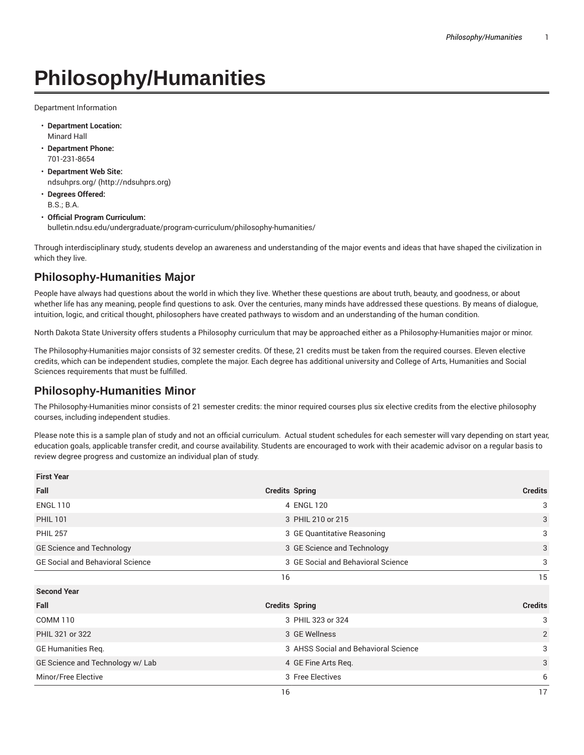## **Philosophy/Humanities**

Department Information

- **Department Location:** Minard Hall
- **Department Phone:** 701-231-8654
- **Department Web Site:** ndsuhprs.org/ (http://ndsuhprs.org)
- **Degrees Offered:** B.S.; B.A.
- **Official Program Curriculum:** bulletin.ndsu.edu/undergraduate/program-curriculum/philosophy-humanities/

Through interdisciplinary study, students develop an awareness and understanding of the major events and ideas that have shaped the civilization in which they live.

## **Philosophy-Humanities Major**

People have always had questions about the world in which they live. Whether these questions are about truth, beauty, and goodness, or about whether life has any meaning, people find questions to ask. Over the centuries, many minds have addressed these questions. By means of dialogue, intuition, logic, and critical thought, philosophers have created pathways to wisdom and an understanding of the human condition.

North Dakota State University offers students a Philosophy curriculum that may be approached either as a Philosophy-Humanities major or minor.

The Philosophy-Humanities major consists of 32 semester credits. Of these, 21 credits must be taken from the required courses. Eleven elective credits, which can be independent studies, complete the major. Each degree has additional university and College of Arts, Humanities and Social Sciences requirements that must be fulfilled.

## **Philosophy-Humanities Minor**

The Philosophy-Humanities minor consists of 21 semester credits: the minor required courses plus six elective credits from the elective philosophy courses, including independent studies.

Please note this is a sample plan of study and not an official curriculum. Actual student schedules for each semester will vary depending on start year, education goals, applicable transfer credit, and course availability. Students are encouraged to work with their academic advisor on a regular basis to review degree progress and customize an individual plan of study.

| <b>First Year</b>                       |                                      |                |
|-----------------------------------------|--------------------------------------|----------------|
| Fall                                    | <b>Credits Spring</b>                | <b>Credits</b> |
| <b>ENGL 110</b>                         | 4 ENGL 120                           | 3              |
| <b>PHIL 101</b>                         | 3 PHIL 210 or 215                    | 3              |
| <b>PHIL 257</b>                         | 3 GE Quantitative Reasoning          | 3              |
| GE Science and Technology               | 3 GE Science and Technology          | 3              |
| <b>GE Social and Behavioral Science</b> | 3 GE Social and Behavioral Science   | 3              |
|                                         | 16                                   | 15             |
| <b>Second Year</b>                      |                                      |                |
| Fall                                    | <b>Credits Spring</b>                | <b>Credits</b> |
| <b>COMM 110</b>                         | 3 PHIL 323 or 324                    | 3              |
| PHIL 321 or 322                         | 3 GE Wellness                        | $\overline{2}$ |
| GE Humanities Reg.                      | 3 AHSS Social and Behavioral Science | 3              |
| GE Science and Technology w/ Lab        | 4 GE Fine Arts Req.                  | 3              |
| Minor/Free Elective                     | 3 Free Electives                     | 6              |
|                                         | 16                                   | 17             |